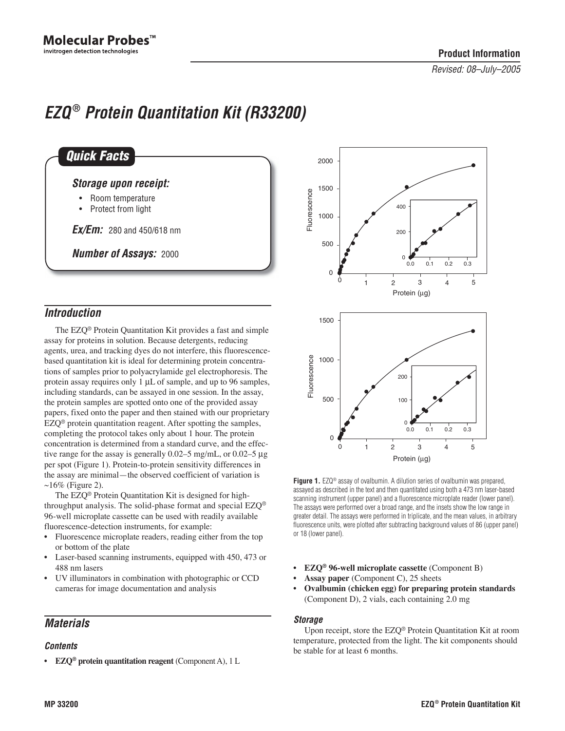# *EZQ* **®** *Protein Quantitation Kit (R33200)*

| <b>Quick Facts</b>                       |  |
|------------------------------------------|--|
| <b>Storage upon receipt:</b>             |  |
| Room temperature<br>• Protect from light |  |
| <b>Ex/Em:</b> 280 and 450/618 nm         |  |
| <b>Number of Assays: 2000</b>            |  |

# *Introduction*

The EZQ® Protein Quantitation Kit provides a fast and simple assay for proteins in solution. Because detergents, reducing agents, urea, and tracking dyes do not interfere, this fluorescencebased quantitation kit is ideal for determining protein concentrations of samples prior to polyacrylamide gel electrophoresis. The protein assay requires only 1 µL of sample, and up to 96 samples, including standards, can be assayed in one session. In the assay, the protein samples are spotted onto one of the provided assay papers, fixed onto the paper and then stained with our proprietary EZQ® protein quantitation reagent. After spotting the samples, completing the protocol takes only about 1 hour. The protein concentration is determined from a standard curve, and the effective range for the assay is generally 0.02–5 mg/mL, or 0.02–5 µg per spot (Figure 1). Protein-to-protein sensitivity differences in the assay are minimal—the observed coefficient of variation is  $\sim$ 16% (Figure 2).

The EZQ® Protein Quantitation Kit is designed for highthroughput analysis. The solid-phase format and special  $EZQ^{\circledast}$ 96-well microplate cassette can be used with readily available fluorescence-detection instruments, for example:

- Fluorescence microplate readers, reading either from the top or bottom of the plate
- Laser-based scanning instruments, equipped with 450, 473 or 488 nm lasers
- UV illuminators in combination with photographic or CCD cameras for image documentation and analysis

# *Materials*

## *Contents*

• **EZQ® protein quantitation reagent** (Component A), 1 L



Figure 1. EZQ<sup>®</sup> assay of ovalbumin. A dilution series of ovalbumin was prepared, assayed as described in the text and then quantitated using both a 473 nm laser-based scanning instrument (upper panel) and a fluorescence microplate reader (lower panel). The assays were performed over a broad range, and the insets show the low range in greater detail. The assays were performed in triplicate, and the mean values, in arbitrary fluorescence units, were plotted after subtracting background values of 86 (upper panel) or 18 (lower panel).

- **EZQ® 96-well microplate cassette** (Component B)
- **Assay paper** (Component C), 25 sheets
- **Ovalbumin (chicken egg) for preparing protein standards** (Component D), 2 vials, each containing 2.0 mg

## *Storage*

Upon receipt, store the EZQ® Protein Quantitation Kit at room temperature, protected from the light. The kit components should be stable for at least 6 months.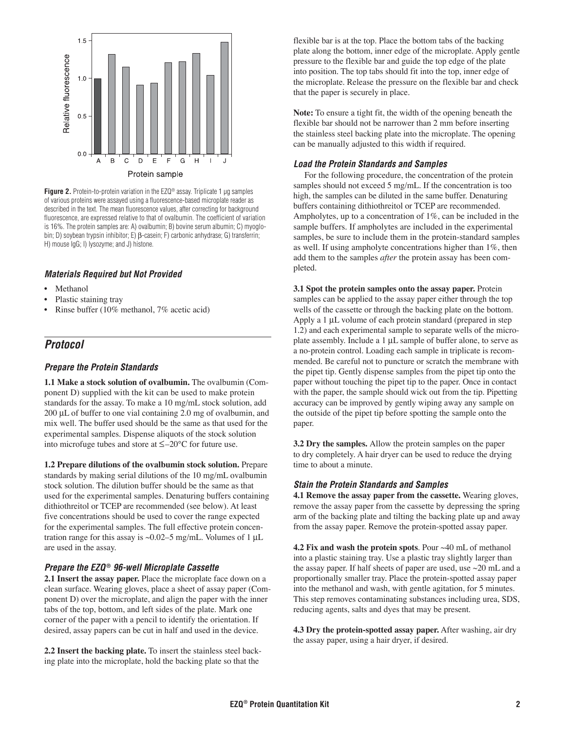

**Figure 2.** Protein-to-protein variation in the EZQ® assay. Triplicate 1 µg samples of various proteins were assayed using a fluorescence-based microplate reader as described in the text. The mean fluorescence values, after correcting for background fluorescence, are expressed relative to that of ovalbumin. The coefficient of variation is 16%. The protein samples are: A) ovalbumin; B) bovine serum albumin; C) myoglobin; D) soybean trypsin inhibitor; E) β-casein; F) carbonic anhydrase; G) transferrin; H) mouse IgG; I) lysozyme; and J) histone.

#### *Materials Required but Not Provided*

- **Methanol**
- Plastic staining tray
- Rinse buffer (10% methanol, 7% acetic acid)

## *Protocol*

#### *Prepare the Protein Standards*

**1.1 Make a stock solution of ovalbumin.** The ovalbumin (Component D) supplied with the kit can be used to make protein standards for the assay. To make a 10 mg/mL stock solution, add 200 µL of buffer to one vial containing 2.0 mg of ovalbumin, and mix well. The buffer used should be the same as that used for the experimental samples. Dispense aliquots of the stock solution into microfuge tubes and store at ≤–20°C for future use.

**1.2 Prepare dilutions of the ovalbumin stock solution.** Prepare standards by making serial dilutions of the 10 mg/mL ovalbumin stock solution. The dilution buffer should be the same as that used for the experimental samples. Denaturing buffers containing dithiothreitol or TCEP are recommended (see below). At least five concentrations should be used to cover the range expected for the experimental samples. The full effective protein concentration range for this assay is ~0.02–5 mg/mL. Volumes of 1  $\mu$ L are used in the assay.

#### *Prepare the EZQ* **®** *96-well Microplate Cassette*

**2.1 Insert the assay paper.** Place the microplate face down on a clean surface. Wearing gloves, place a sheet of assay paper (Component D) over the microplate, and align the paper with the inner tabs of the top, bottom, and left sides of the plate. Mark one corner of the paper with a pencil to identify the orientation. If desired, assay papers can be cut in half and used in the device.

**2.2 Insert the backing plate.** To insert the stainless steel backing plate into the microplate, hold the backing plate so that the

flexible bar is at the top. Place the bottom tabs of the backing plate along the bottom, inner edge of the microplate. Apply gentle pressure to the flexible bar and guide the top edge of the plate into position. The top tabs should fit into the top, inner edge of the microplate. Release the pressure on the flexible bar and check that the paper is securely in place.

**Note:** To ensure a tight fit, the width of the opening beneath the flexible bar should not be narrower than 2 mm before inserting the stainless steel backing plate into the microplate. The opening can be manually adjusted to this width if required.

#### *Load the Protein Standards and Samples*

For the following procedure, the concentration of the protein samples should not exceed 5 mg/mL. If the concentration is too high, the samples can be diluted in the same buffer. Denaturing buffers containing dithiothreitol or TCEP are recommended. Ampholytes, up to a concentration of 1%, can be included in the sample buffers. If ampholytes are included in the experimental samples, be sure to include them in the protein-standard samples as well. If using ampholyte concentrations higher than 1%, then add them to the samples *after* the protein assay has been completed.

**3.1 Spot the protein samples onto the assay paper.** Protein samples can be applied to the assay paper either through the top wells of the cassette or through the backing plate on the bottom. Apply a 1 µL volume of each protein standard (prepared in step 1.2) and each experimental sample to separate wells of the microplate assembly. Include a 1 µL sample of buffer alone, to serve as a no-protein control. Loading each sample in triplicate is recommended. Be careful not to puncture or scratch the membrane with the pipet tip. Gently dispense samples from the pipet tip onto the paper without touching the pipet tip to the paper. Once in contact with the paper, the sample should wick out from the tip. Pipetting accuracy can be improved by gently wiping away any sample on the outside of the pipet tip before spotting the sample onto the paper.

**3.2 Dry the samples.** Allow the protein samples on the paper to dry completely. A hair dryer can be used to reduce the drying time to about a minute.

#### *Stain the Protein Standards and Samples*

**4.1 Remove the assay paper from the cassette.** Wearing gloves, remove the assay paper from the cassette by depressing the spring arm of the backing plate and tilting the backing plate up and away from the assay paper. Remove the protein-spotted assay paper.

**4.2 Fix and wash the protein spots**. Pour ~40 mL of methanol into a plastic staining tray. Use a plastic tray slightly larger than the assay paper. If half sheets of paper are used, use ~20 mL and a proportionally smaller tray. Place the protein-spotted assay paper into the methanol and wash, with gentle agitation, for 5 minutes. This step removes contaminating substances including urea, SDS, reducing agents, salts and dyes that may be present.

**4.3 Dry the protein-spotted assay paper.** After washing, air dry the assay paper, using a hair dryer, if desired.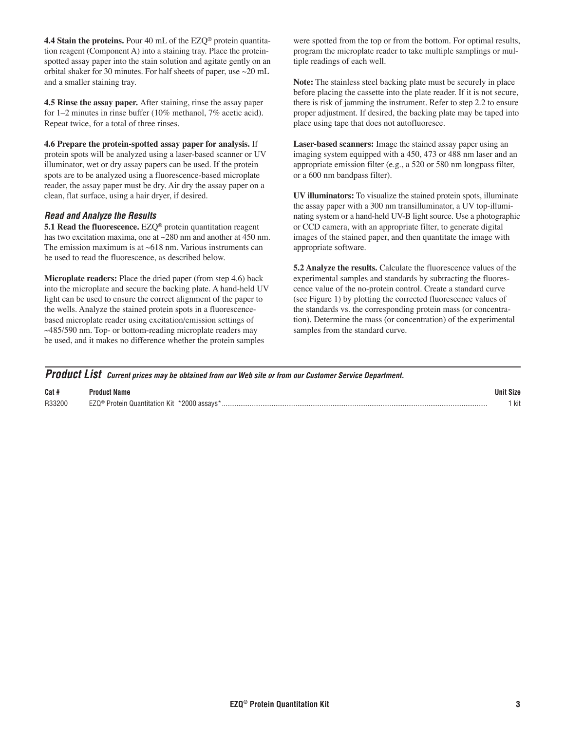**4.4 Stain the proteins.** Pour 40 mL of the EZQ<sup>®</sup> protein quantitation reagent (Component A) into a staining tray. Place the proteinspotted assay paper into the stain solution and agitate gently on an orbital shaker for 30 minutes. For half sheets of paper, use ~20 mL and a smaller staining tray.

**4.5 Rinse the assay paper.** After staining, rinse the assay paper for 1–2 minutes in rinse buffer (10% methanol, 7% acetic acid). Repeat twice, for a total of three rinses.

**4.6 Prepare the protein-spotted assay paper for analysis.** If protein spots will be analyzed using a laser-based scanner or UV illuminator, wet or dry assay papers can be used. If the protein spots are to be analyzed using a fluorescence-based microplate reader, the assay paper must be dry. Air dry the assay paper on a clean, flat surface, using a hair dryer, if desired.

## *Read and Analyze the Results*

**5.1 Read the fluorescence.** EZQ® protein quantitation reagent has two excitation maxima, one at ~280 nm and another at 450 nm. The emission maximum is at  $~618$  nm. Various instruments can be used to read the fluorescence, as described below.

**Microplate readers:** Place the dried paper (from step 4.6) back into the microplate and secure the backing plate. A hand-held UV light can be used to ensure the correct alignment of the paper to the wells. Analyze the stained protein spots in a fluorescencebased microplate reader using excitation/emission settings of ~485/590 nm. Top- or bottom-reading microplate readers may be used, and it makes no difference whether the protein samples

were spotted from the top or from the bottom. For optimal results, program the microplate reader to take multiple samplings or multiple readings of each well.

**Note:** The stainless steel backing plate must be securely in place before placing the cassette into the plate reader. If it is not secure, there is risk of jamming the instrument. Refer to step 2.2 to ensure proper adjustment. If desired, the backing plate may be taped into place using tape that does not autofluoresce.

**Laser-based scanners:** Image the stained assay paper using an imaging system equipped with a 450, 473 or 488 nm laser and an appropriate emission filter (e.g., a 520 or 580 nm longpass filter, or a 600 nm bandpass filter).

**UV illuminators:** To visualize the stained protein spots, illuminate the assay paper with a 300 nm transilluminator, a UV top-illuminating system or a hand-held UV-B light source. Use a photographic or CCD camera, with an appropriate filter, to generate digital images of the stained paper, and then quantitate the image with appropriate software.

**5.2 Analyze the results.** Calculate the fluorescence values of the experimental samples and standards by subtracting the fluorescence value of the no-protein control. Create a standard curve (see Figure 1) by plotting the corrected fluorescence values of the standards vs. the corresponding protein mass (or concentration). Determine the mass (or concentration) of the experimental samples from the standard curve.

|  | <b>Product List</b> Current prices may be obtained from our Web site or from our Customer Service Department. |  |
|--|---------------------------------------------------------------------------------------------------------------|--|
|--|---------------------------------------------------------------------------------------------------------------|--|

| Cat #         |                                   | Inr |
|---------------|-----------------------------------|-----|
| <b>B33200</b> | Quantitation<br>Kit<br>$1T\Omega$ | kit |